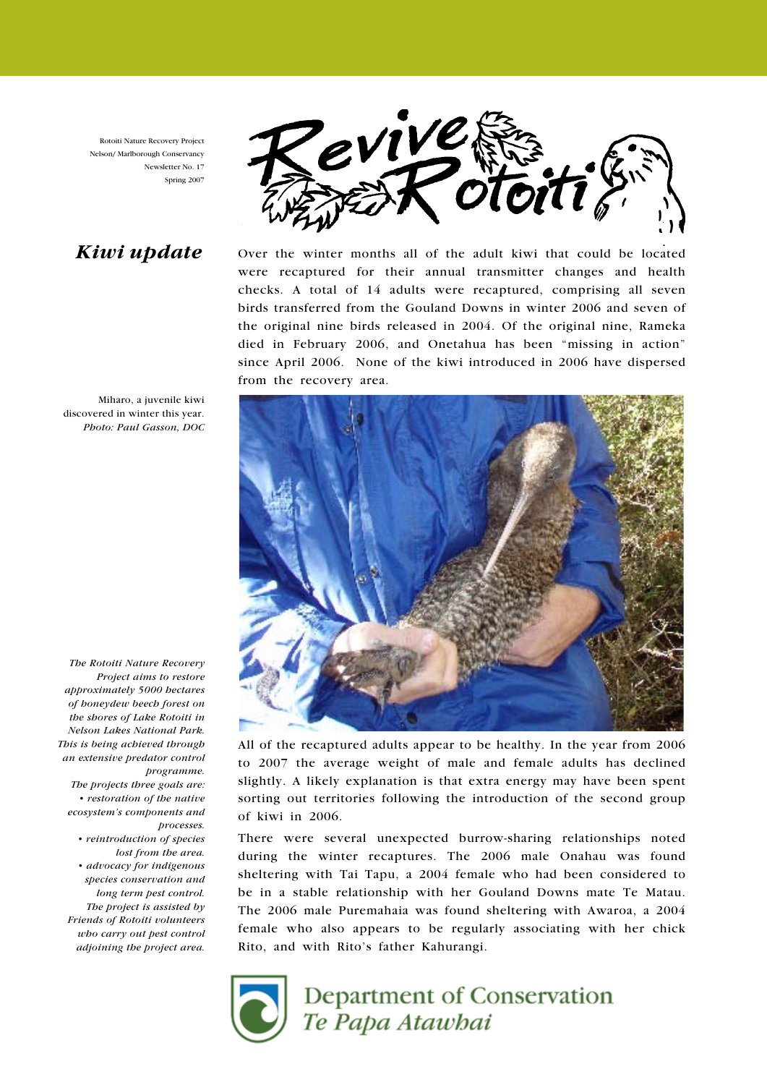Rotoiti Nature Recovery Project Nelson/ Marlborough Conservancy Newsletter No. 17 Spring 2007

# Kiwi update



Over the winter months all of the adult kiwi that could be located were recaptured for their annual transmitter changes and health checks. A total of 14 adults were recaptured, comprising all seven birds transferred from the Gouland Downs in winter 2006 and seven of the original nine birds released in 2004. Of the original nine, Rameka died in February 2006, and Onetahua has been "missing in action" since April 2006. None of the kiwi introduced in 2006 have dispersed from the recovery area.



All of the recaptured adults appear to be healthy. In the year from 2006 to 2007 the average weight of male and female adults has declined slightly. A likely explanation is that extra energy may have been spent sorting out territories following the introduction of the second group of kiwi in 2006.

There were several unexpected burrow-sharing relationships noted during the winter recaptures. The 2006 male Onahau was found sheltering with Tai Tapu, a 2004 female who had been considered to be in a stable relationship with her Gouland Downs mate Te Matau. The 2006 male Puremahaia was found sheltering with Awaroa, a 2004 female who also appears to be regularly associating with her chick Rito, and with Rito's father Kahurangi.



# **Department of Conservation** Te Papa Atawbai

Miharo, a juvenile kiwi discovered in winter this year. Photo: Paul Gasson, DOC

The Rotoiti Nature Recovery Project aims to restore approximately 5000 hectares of honeydew beech forest on the shores of Lake Rotoiti in Nelson Lakes National Park. This is being achieved through an extensive predator control programme.

The projects three goals are: • restoration of the native ecosystem's components and processes.

 • reintroduction of species lost from the area. • advocacy for indigenous species conservation and long term pest control. The project is assisted by Friends of Rotoiti volunteers who carry out pest control adjoining the project area.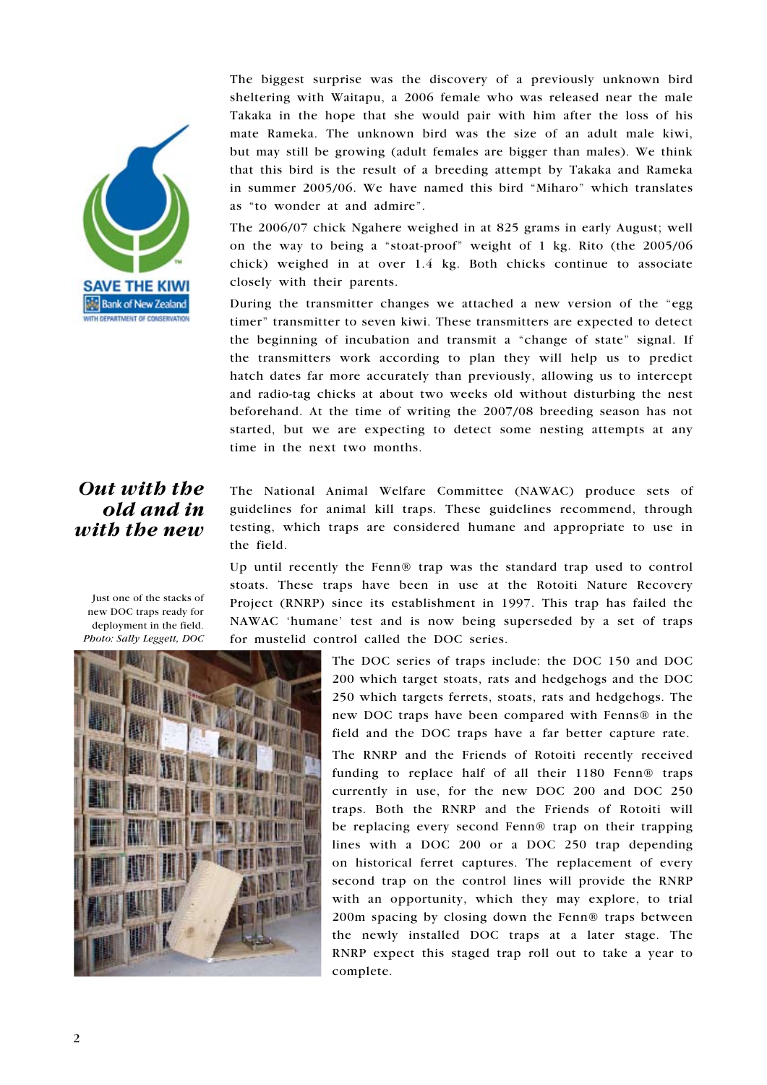

The biggest surprise was the discovery of a previously unknown bird sheltering with Waitapu, a 2006 female who was released near the male Takaka in the hope that she would pair with him after the loss of his mate Rameka. The unknown bird was the size of an adult male kiwi, but may still be growing (adult females are bigger than males). We think that this bird is the result of a breeding attempt by Takaka and Rameka in summer 2005/06. We have named this bird "Miharo" which translates as "to wonder at and admire".

The 2006/07 chick Ngahere weighed in at 825 grams in early August; well on the way to being a "stoat-proof" weight of 1 kg. Rito (the 2005/06 chick) weighed in at over 1.4 kg. Both chicks continue to associate closely with their parents.

During the transmitter changes we attached a new version of the "egg timer" transmitter to seven kiwi. These transmitters are expected to detect the beginning of incubation and transmit a "change of state" signal. If the transmitters work according to plan they will help us to predict hatch dates far more accurately than previously, allowing us to intercept and radio-tag chicks at about two weeks old without disturbing the nest beforehand. At the time of writing the 2007/08 breeding season has not started, but we are expecting to detect some nesting attempts at any time in the next two months.

# Out with the old and in with the new

The National Animal Welfare Committee (NAWAC) produce sets of guidelines for animal kill traps. These guidelines recommend, through testing, which traps are considered humane and appropriate to use in the field.

Up until recently the Fenn® trap was the standard trap used to control stoats. These traps have been in use at the Rotoiti Nature Recovery Project (RNRP) since its establishment in 1997. This trap has failed the NAWAC 'humane' test and is now being superseded by a set of traps for mustelid control called the DOC series.

> The DOC series of traps include: the DOC 150 and DOC 200 which target stoats, rats and hedgehogs and the DOC 250 which targets ferrets, stoats, rats and hedgehogs. The new DOC traps have been compared with Fenns® in the field and the DOC traps have a far better capture rate. The RNRP and the Friends of Rotoiti recently received funding to replace half of all their 1180 Fenn® traps currently in use, for the new DOC 200 and DOC 250 traps. Both the RNRP and the Friends of Rotoiti will be replacing every second Fenn® trap on their trapping lines with a DOC 200 or a DOC 250 trap depending on historical ferret captures. The replacement of every second trap on the control lines will provide the RNRP with an opportunity, which they may explore, to trial 200m spacing by closing down the Fenn® traps between the newly installed DOC traps at a later stage. The RNRP expect this staged trap roll out to take a year to complete.

Just one of the stacks of new DOC traps ready for deployment in the field. Photo: Sally Leggett, DOC

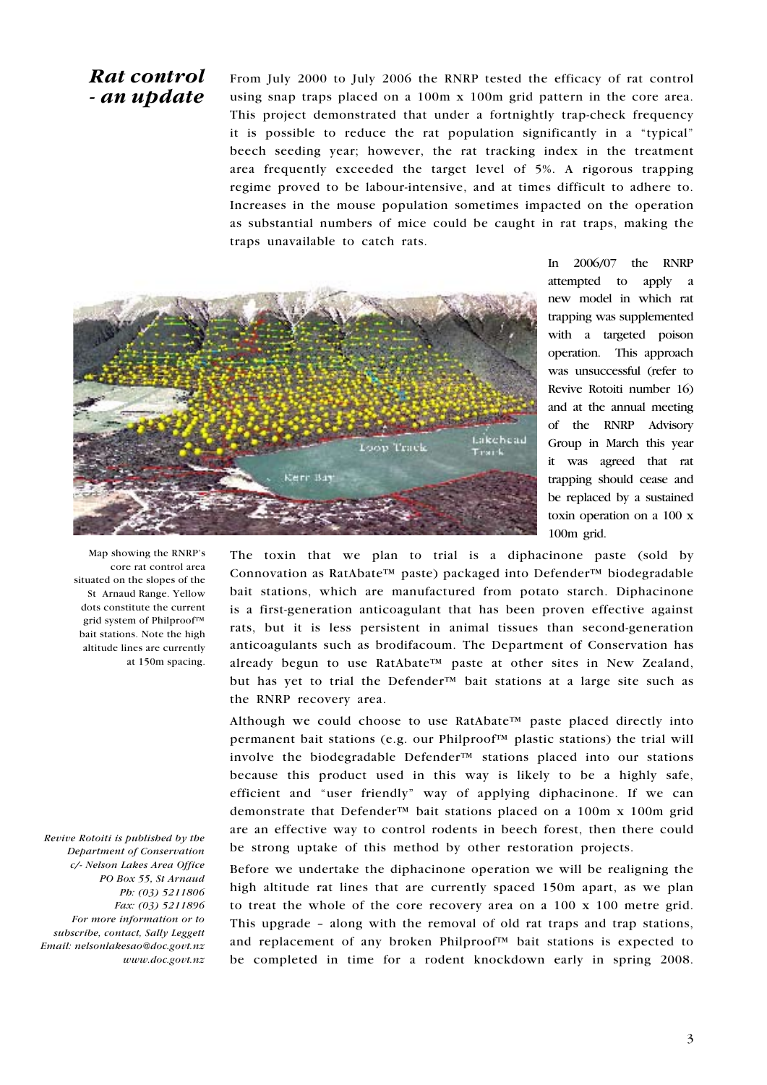## Rat control - an update

From July 2000 to July 2006 the RNRP tested the efficacy of rat control using snap traps placed on a 100m x 100m grid pattern in the core area. This project demonstrated that under a fortnightly trap-check frequency it is possible to reduce the rat population significantly in a "typical" beech seeding year; however, the rat tracking index in the treatment area frequently exceeded the target level of 5%. A rigorous trapping regime proved to be labour-intensive, and at times difficult to adhere to. Increases in the mouse population sometimes impacted on the operation as substantial numbers of mice could be caught in rat traps, making the traps unavailable to catch rats.



In 2006/07 the RNRP attempted to apply a new model in which rat trapping was supplemented with a targeted poison operation. This approach was unsuccessful (refer to Revive Rotoiti number 16) and at the annual meeting of the RNRP Advisory Group in March this year it was agreed that rat trapping should cease and be replaced by a sustained toxin operation on a 100 x 100m grid.

The toxin that we plan to trial is a diphacinone paste (sold by Connovation as RatAbate™ paste) packaged into Defender™ biodegradable bait stations, which are manufactured from potato starch. Diphacinone is a first-generation anticoagulant that has been proven effective against rats, but it is less persistent in animal tissues than second-generation anticoagulants such as brodifacoum. The Department of Conservation has already begun to use RatAbate™ paste at other sites in New Zealand, but has yet to trial the Defender™ bait stations at a large site such as the RNRP recovery area.

Although we could choose to use RatAbate<sup>™</sup> paste placed directly into permanent bait stations (e.g. our Philproof™ plastic stations) the trial will involve the biodegradable Defender™ stations placed into our stations because this product used in this way is likely to be a highly safe, efficient and "user friendly" way of applying diphacinone. If we can demonstrate that Defender™ bait stations placed on a 100m x 100m grid are an effective way to control rodents in beech forest, then there could be strong uptake of this method by other restoration projects.

Before we undertake the diphacinone operation we will be realigning the high altitude rat lines that are currently spaced 150m apart, as we plan to treat the whole of the core recovery area on a 100 x 100 metre grid. This upgrade – along with the removal of old rat traps and trap stations, and replacement of any broken Philproof™ bait stations is expected to be completed in time for a rodent knockdown early in spring 2008.

Map showing the RNRP's core rat control area situated on the slopes of the St Arnaud Range. Yellow dots constitute the current grid system of Philproof™ bait stations. Note the high altitude lines are currently at 150m spacing.

Revive Rotoiti is published by the Department of Conservation c/- Nelson Lakes Area Office PO Box 55, St Arnaud Ph: (03) 5211806 Fax: (03) 5211896 For more information or to subscribe, contact, Sally Leggett Email: nelsonlakesao@doc.govt.nz www.doc.govt.nz